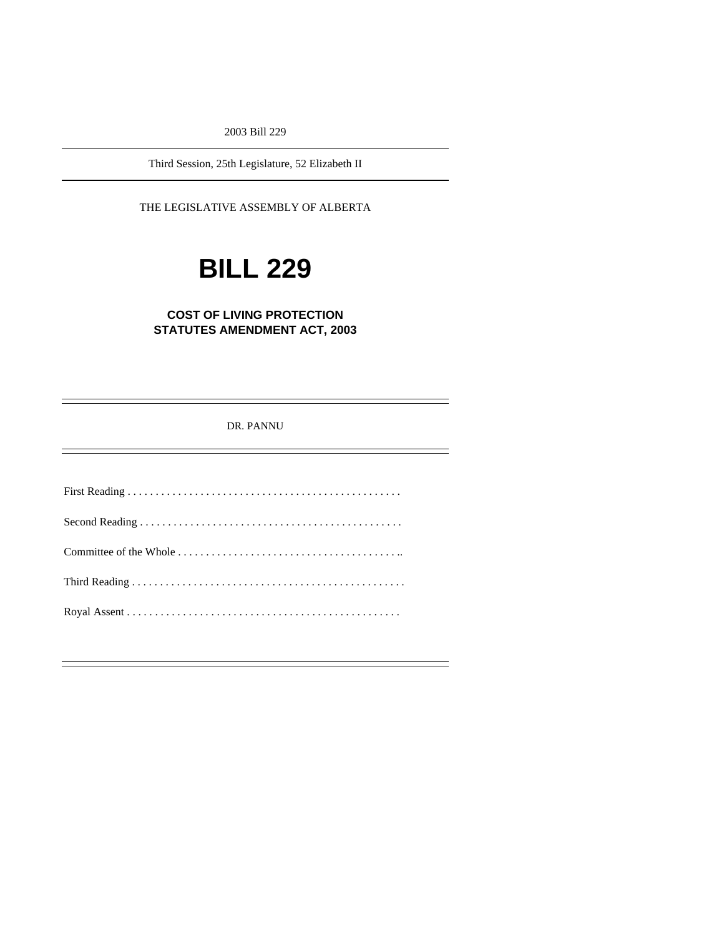2003 Bill 229

Third Session, 25th Legislature, 52 Elizabeth II

THE LEGISLATIVE ASSEMBLY OF ALBERTA

# **BILL 229**

## **COST OF LIVING PROTECTION STATUTES AMENDMENT ACT, 2003**

DR. PANNU

First Reading . . . . . . . . . . . . . . . . . . . . . . . . . . . . . . . . . . . . . . . . . . . . . . . . . Second Reading . . . . . . . . . . . . . . . . . . . . . . . . . . . . . . . . . . . . . . . . . . . . . . . Committee of the Whole . . . . . . . . . . . . . . . . . . . . . . . . . . . . . . . . . . . . . . . .. Third Reading . . . . . . . . . . . . . . . . . . . . . . . . . . . . . . . . . . . . . . . . . . . . . . . . . Royal Assent . . . . . . . . . . . . . . . . . . . . . . . . . . . . . . . . . . . . . . . . . . . . . . . . .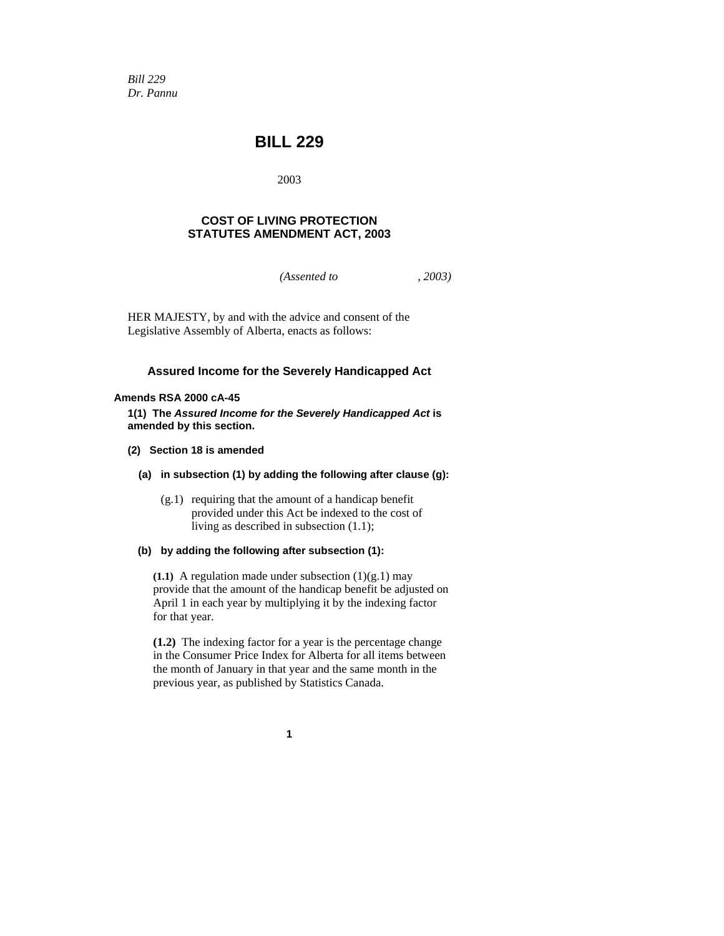*Bill 229 Dr. Pannu* 

## **BILL 229**

2003

## **COST OF LIVING PROTECTION STATUTES AMENDMENT ACT, 2003**

*(Assented to , 2003)* 

HER MAJESTY, by and with the advice and consent of the Legislative Assembly of Alberta, enacts as follows:

## **Assured Income for the Severely Handicapped Act**

## **Amends RSA 2000 cA-45**

**1(1) The** *Assured Income for the Severely Handicapped Act* **is amended by this section.** 

- **(2) Section 18 is amended** 
	- **(a) in subsection (1) by adding the following after clause (g):** 
		- (g.1) requiring that the amount of a handicap benefit provided under this Act be indexed to the cost of living as described in subsection (1.1);

#### **(b) by adding the following after subsection (1):**

**(1.1)** A regulation made under subsection  $(1)(g.1)$  may provide that the amount of the handicap benefit be adjusted on April 1 in each year by multiplying it by the indexing factor for that year.

**(1.2)** The indexing factor for a year is the percentage change in the Consumer Price Index for Alberta for all items between the month of January in that year and the same month in the previous year, as published by Statistics Canada.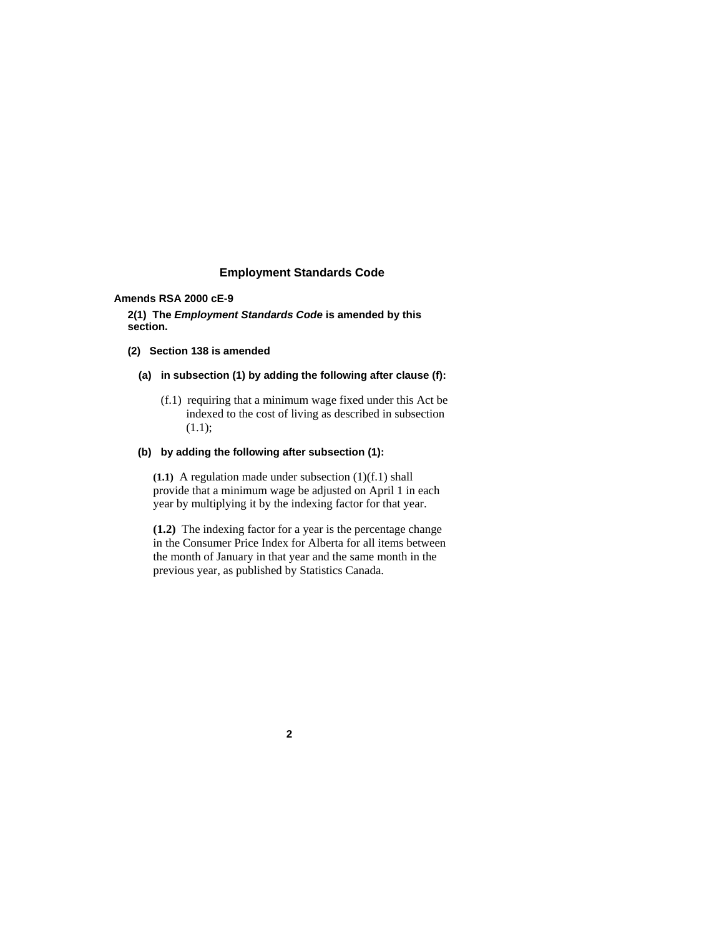## **Employment Standards Code**

**Amends RSA 2000 cE-9** 

**2(1) The** *Employment Standards Code* **is amended by this section.** 

- **(2) Section 138 is amended** 
	- **(a) in subsection (1) by adding the following after clause (f):** 
		- (f.1) requiring that a minimum wage fixed under this Act be indexed to the cost of living as described in subsection (1.1);

#### **(b) by adding the following after subsection (1):**

**(1.1)** A regulation made under subsection (1)(f.1) shall provide that a minimum wage be adjusted on April 1 in each year by multiplying it by the indexing factor for that year.

**(1.2)** The indexing factor for a year is the percentage change in the Consumer Price Index for Alberta for all items between the month of January in that year and the same month in the previous year, as published by Statistics Canada.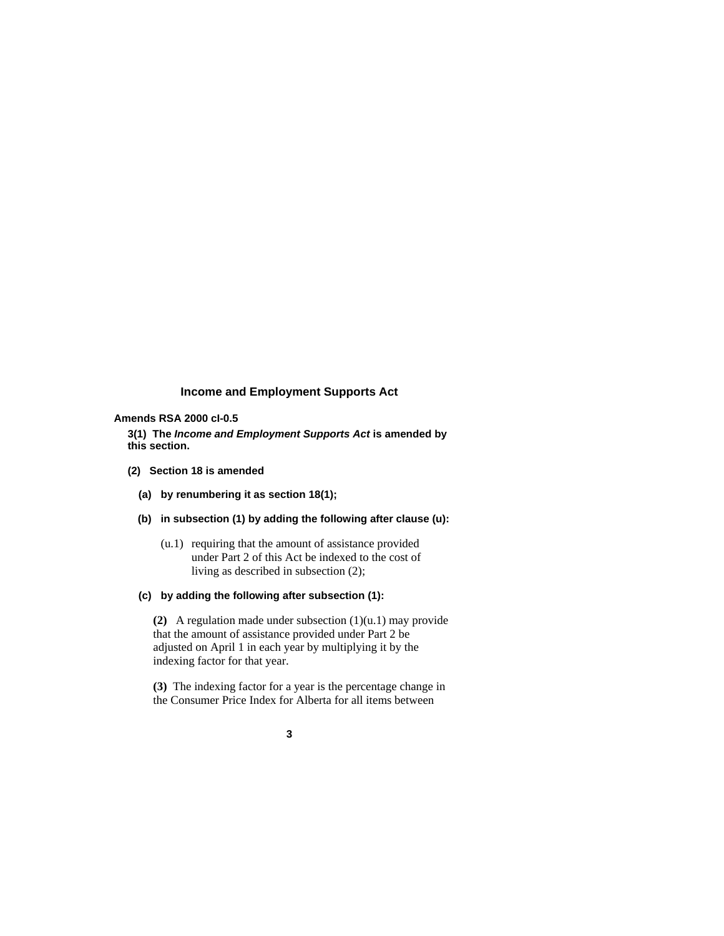#### **Income and Employment Supports Act**

## **Amends RSA 2000 cI-0.5**

**3(1) The** *Income and Employment Supports Act* **is amended by this section.** 

- **(2) Section 18 is amended** 
	- **(a) by renumbering it as section 18(1);**
	- **(b) in subsection (1) by adding the following after clause (u):** 
		- (u.1) requiring that the amount of assistance provided under Part 2 of this Act be indexed to the cost of living as described in subsection (2);
	- **(c) by adding the following after subsection (1):**

**(2)** A regulation made under subsection (1)(u.1) may provide that the amount of assistance provided under Part 2 be adjusted on April 1 in each year by multiplying it by the indexing factor for that year.

**(3)** The indexing factor for a year is the percentage change in the Consumer Price Index for Alberta for all items between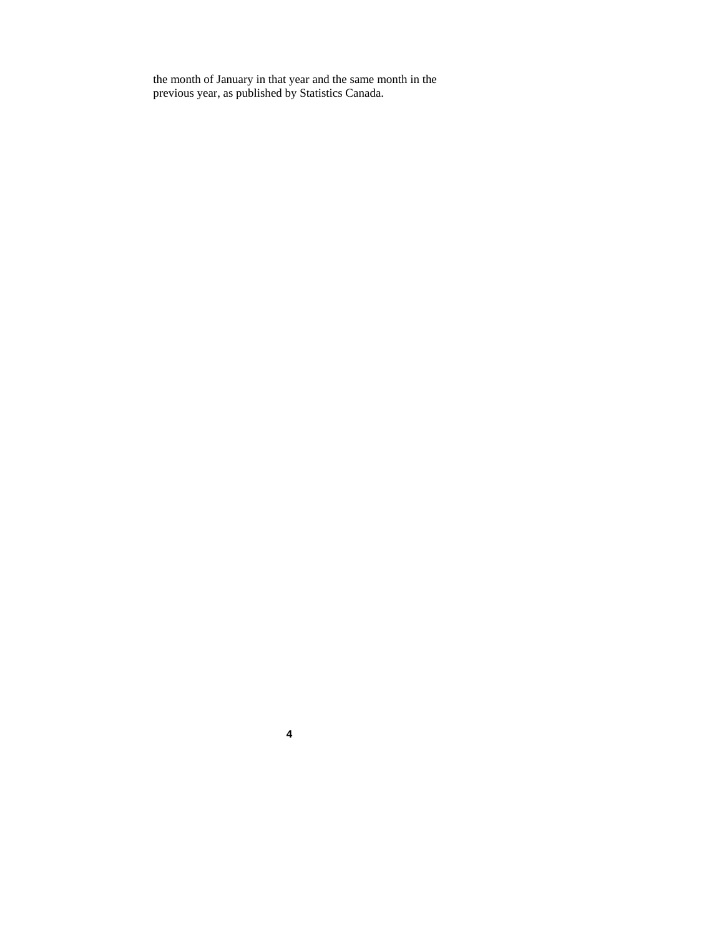the month of January in that year and the same month in the previous year, as published by Statistics Canada.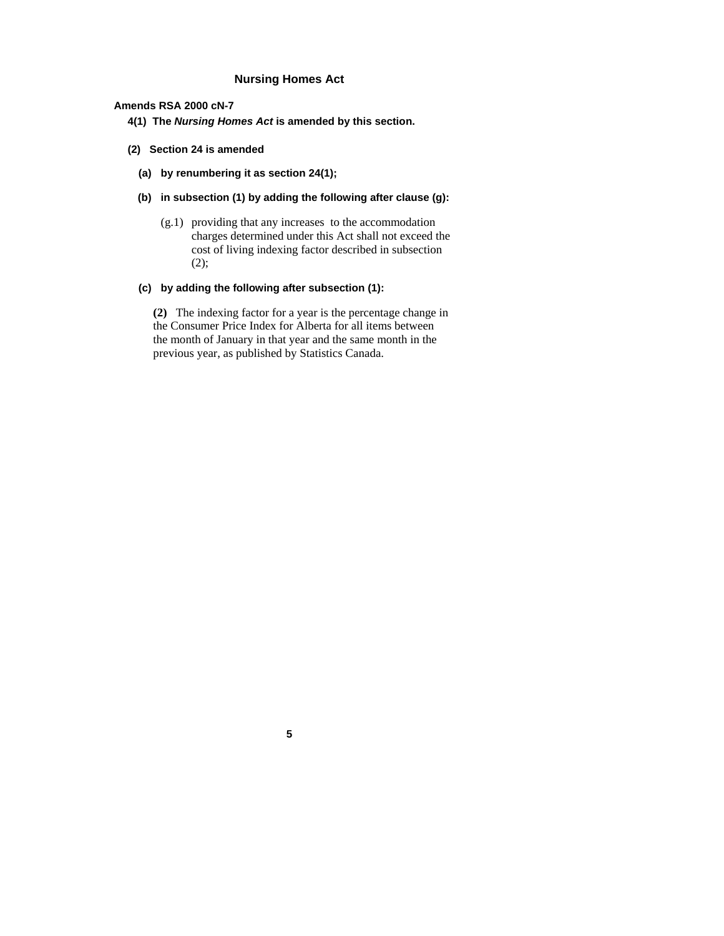## **Nursing Homes Act**

## **Amends RSA 2000 cN-7**

- **4(1) The** *Nursing Homes Act* **is amended by this section.**
- **(2) Section 24 is amended** 
	- **(a) by renumbering it as section 24(1);**
	- **(b) in subsection (1) by adding the following after clause (g):** 
		- (g.1) providing that any increases to the accommodation charges determined under this Act shall not exceed the cost of living indexing factor described in subsection  $(2);$
	- **(c) by adding the following after subsection (1):**

**(2)** The indexing factor for a year is the percentage change in the Consumer Price Index for Alberta for all items between the month of January in that year and the same month in the previous year, as published by Statistics Canada.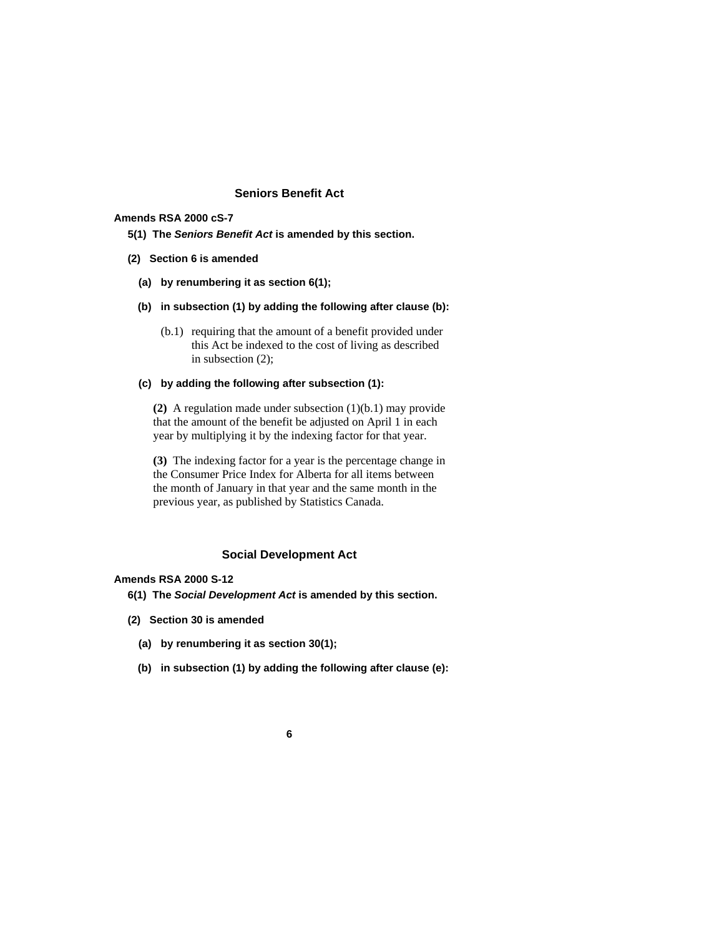#### **Seniors Benefit Act**

#### **Amends RSA 2000 cS-7**

- **5(1) The** *Seniors Benefit Act* **is amended by this section.**
- **(2) Section 6 is amended** 
	- **(a) by renumbering it as section 6(1);**
	- **(b) in subsection (1) by adding the following after clause (b):** 
		- (b.1) requiring that the amount of a benefit provided under this Act be indexed to the cost of living as described in subsection (2);

## **(c) by adding the following after subsection (1):**

**(2)** A regulation made under subsection (1)(b.1) may provide that the amount of the benefit be adjusted on April 1 in each year by multiplying it by the indexing factor for that year.

**(3)** The indexing factor for a year is the percentage change in the Consumer Price Index for Alberta for all items between the month of January in that year and the same month in the previous year, as published by Statistics Canada.

## **Social Development Act**

## **Amends RSA 2000 S-12**

- **6(1) The** *Social Development Act* **is amended by this section.**
- **(2) Section 30 is amended** 
	- **(a) by renumbering it as section 30(1);**
	- **(b) in subsection (1) by adding the following after clause (e):** 
		- **6**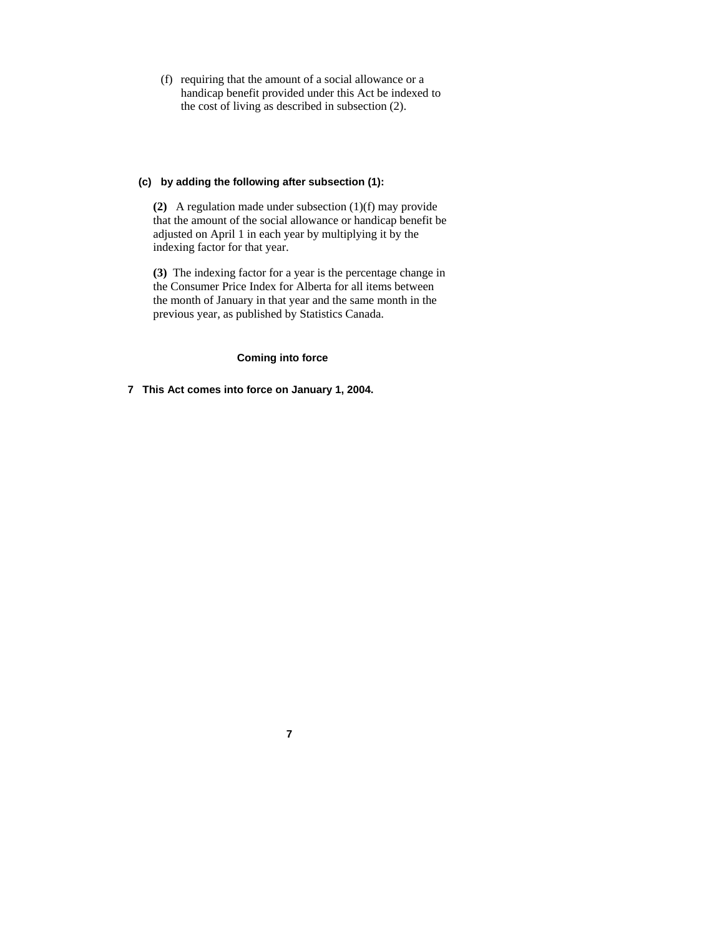(f) requiring that the amount of a social allowance or a handicap benefit provided under this Act be indexed to the cost of living as described in subsection (2).

## **(c) by adding the following after subsection (1):**

**(2)** A regulation made under subsection (1)(f) may provide that the amount of the social allowance or handicap benefit be adjusted on April 1 in each year by multiplying it by the indexing factor for that year.

**(3)** The indexing factor for a year is the percentage change in the Consumer Price Index for Alberta for all items between the month of January in that year and the same month in the previous year, as published by Statistics Canada.

## **Coming into force**

## **7 This Act comes into force on January 1, 2004.**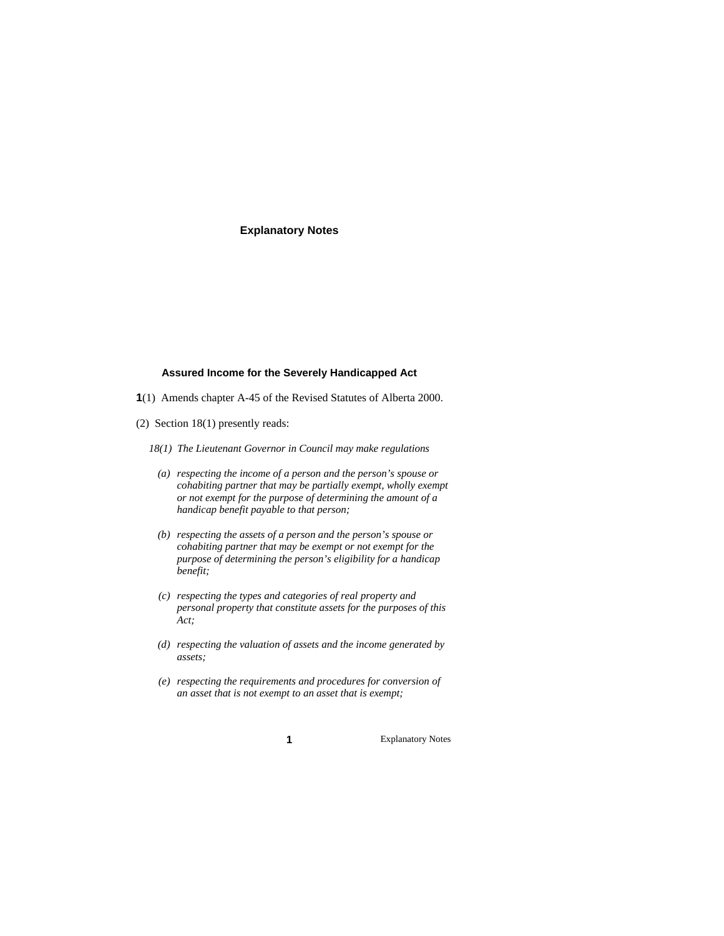## **Explanatory Notes**

## **Assured Income for the Severely Handicapped Act**

- **1**(1) Amends chapter A-45 of the Revised Statutes of Alberta 2000.
- (2) Section 18(1) presently reads:
	- *18(1) The Lieutenant Governor in Council may make regulations*
	- *(a) respecting the income of a person and the person's spouse or cohabiting partner that may be partially exempt, wholly exempt or not exempt for the purpose of determining the amount of a handicap benefit payable to that person;*
	- *(b) respecting the assets of a person and the person's spouse or cohabiting partner that may be exempt or not exempt for the purpose of determining the person's eligibility for a handicap benefit;*
	- *(c) respecting the types and categories of real property and personal property that constitute assets for the purposes of this Act;*
	- *(d) respecting the valuation of assets and the income generated by assets;*
	- *(e) respecting the requirements and procedures for conversion of an asset that is not exempt to an asset that is exempt;*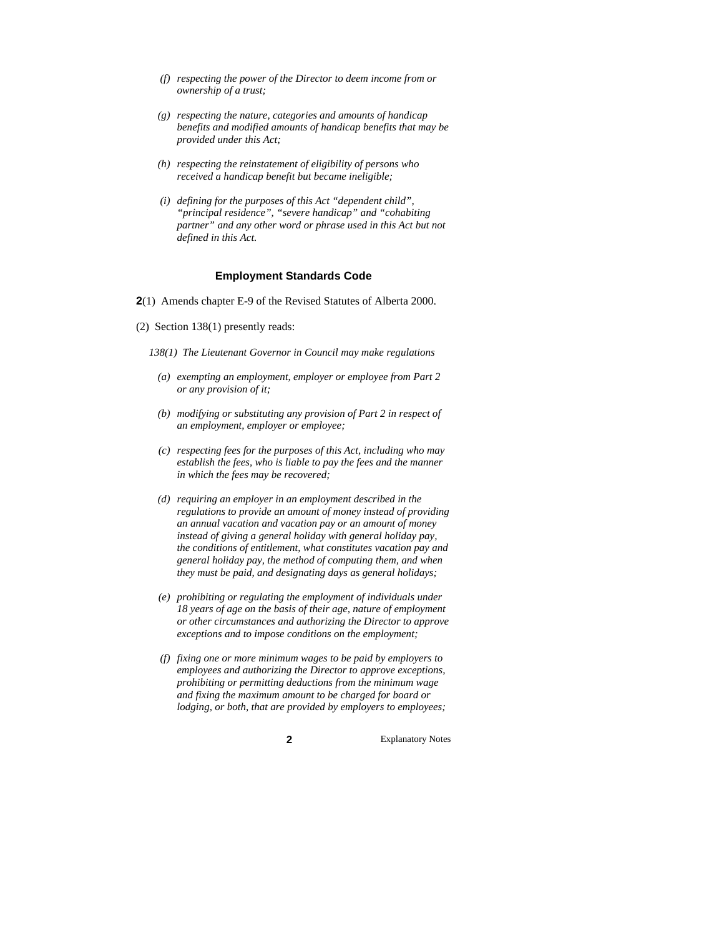- *(f) respecting the power of the Director to deem income from or ownership of a trust;*
- *(g) respecting the nature, categories and amounts of handicap benefits and modified amounts of handicap benefits that may be provided under this Act;*
- *(h) respecting the reinstatement of eligibility of persons who received a handicap benefit but became ineligible;*
- *(i) defining for the purposes of this Act "dependent child", "principal residence", "severe handicap" and "cohabiting partner" and any other word or phrase used in this Act but not defined in this Act.*

#### **Employment Standards Code**

- **2**(1) Amends chapter E-9 of the Revised Statutes of Alberta 2000.
- (2) Section 138(1) presently reads:
	- *138(1) The Lieutenant Governor in Council may make regulations* 
		- *(a) exempting an employment, employer or employee from Part 2 or any provision of it;*
		- *(b) modifying or substituting any provision of Part 2 in respect of an employment, employer or employee;*
		- *(c) respecting fees for the purposes of this Act, including who may establish the fees, who is liable to pay the fees and the manner in which the fees may be recovered;*
		- *(d) requiring an employer in an employment described in the regulations to provide an amount of money instead of providing an annual vacation and vacation pay or an amount of money instead of giving a general holiday with general holiday pay, the conditions of entitlement, what constitutes vacation pay and general holiday pay, the method of computing them, and when they must be paid, and designating days as general holidays;*
		- *(e) prohibiting or regulating the employment of individuals under 18 years of age on the basis of their age, nature of employment or other circumstances and authorizing the Director to approve exceptions and to impose conditions on the employment;*
		- *(f) fixing one or more minimum wages to be paid by employers to employees and authorizing the Director to approve exceptions, prohibiting or permitting deductions from the minimum wage and fixing the maximum amount to be charged for board or lodging, or both, that are provided by employers to employees;*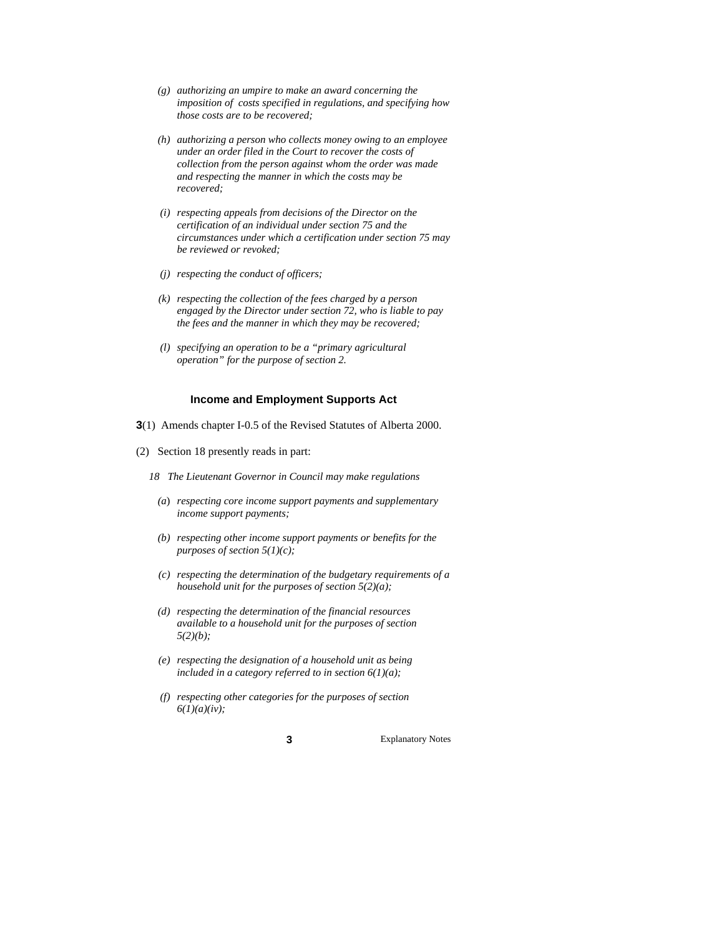- *(g) authorizing an umpire to make an award concerning the imposition of costs specified in regulations, and specifying how those costs are to be recovered;*
- *(h) authorizing a person who collects money owing to an employee under an order filed in the Court to recover the costs of collection from the person against whom the order was made and respecting the manner in which the costs may be recovered;*
- *(i) respecting appeals from decisions of the Director on the certification of an individual under section 75 and the circumstances under which a certification under section 75 may be reviewed or revoked;*
- *(j) respecting the conduct of officers;*
- *(k) respecting the collection of the fees charged by a person engaged by the Director under section 72, who is liable to pay the fees and the manner in which they may be recovered;*
- *(l) specifying an operation to be a "primary agricultural operation" for the purpose of section 2.*

#### **Income and Employment Supports Act**

- **3**(1) Amends chapter I-0.5 of the Revised Statutes of Alberta 2000.
- (2) Section 18 presently reads in part:
	- *18 The Lieutenant Governor in Council may make regulations* 
		- *(a*) *respecting core income support payments and supplementary income support payments;*
		- *(b) respecting other income support payments or benefits for the purposes of section 5(1)(c);*
		- *(c) respecting the determination of the budgetary requirements of a household unit for the purposes of section 5(2)(a);*
		- *(d) respecting the determination of the financial resources available to a household unit for the purposes of section 5(2)(b);*
		- *(e) respecting the designation of a household unit as being included in a category referred to in section 6(1)(a);*
		- *(f) respecting other categories for the purposes of section 6(1)(a)(iv);*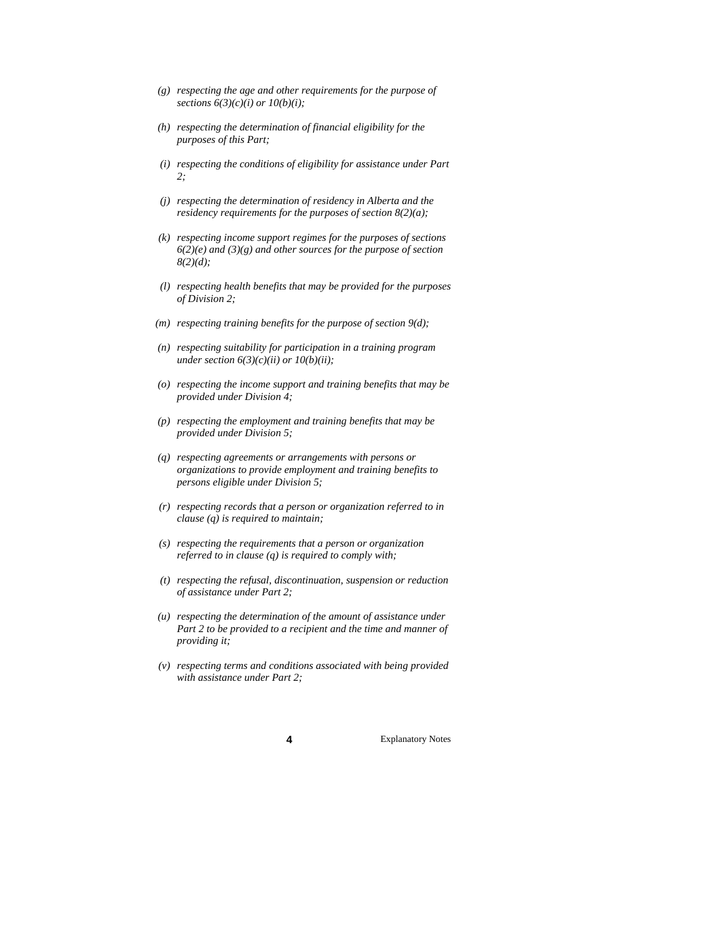- *(g) respecting the age and other requirements for the purpose of sections 6(3)(c)(i) or 10(b)(i);*
- *(h) respecting the determination of financial eligibility for the purposes of this Part;*
- *(i) respecting the conditions of eligibility for assistance under Part 2;*
- *(j) respecting the determination of residency in Alberta and the residency requirements for the purposes of section 8(2)(a);*
- *(k) respecting income support regimes for the purposes of sections 6(2)(e) and (3)(g) and other sources for the purpose of section 8(2)(d);*
- *(l) respecting health benefits that may be provided for the purposes of Division 2;*
- *(m) respecting training benefits for the purpose of section 9(d);*
- *(n) respecting suitability for participation in a training program under section 6(3)(c)(ii) or 10(b)(ii);*
- *(o) respecting the income support and training benefits that may be provided under Division 4;*
- *(p) respecting the employment and training benefits that may be provided under Division 5;*
- *(q) respecting agreements or arrangements with persons or organizations to provide employment and training benefits to persons eligible under Division 5;*
- *(r) respecting records that a person or organization referred to in clause (q) is required to maintain;*
- *(s) respecting the requirements that a person or organization referred to in clause (q) is required to comply with;*
- *(t) respecting the refusal, discontinuation, suspension or reduction of assistance under Part 2;*
- *(u) respecting the determination of the amount of assistance under Part 2 to be provided to a recipient and the time and manner of providing it;*
- *(v) respecting terms and conditions associated with being provided with assistance under Part 2;*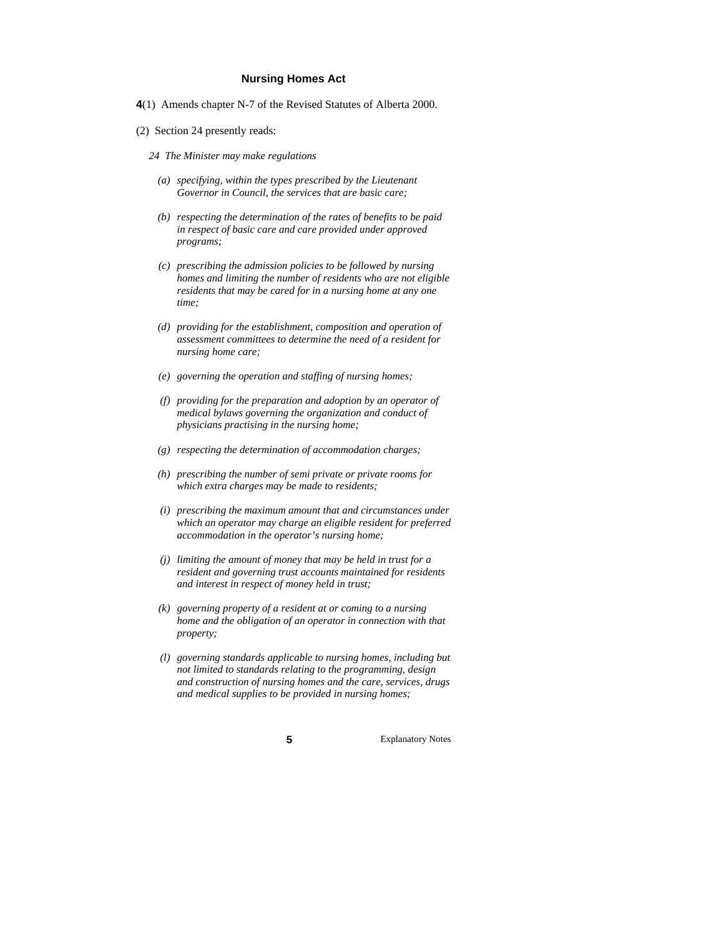### **Nursing Homes Act**

- **4**(1) Amends chapter N-7 of the Revised Statutes of Alberta 2000.
- (2) Section 24 presently reads:
	- *24 The Minister may make regulations* 
		- *(a) specifying, within the types prescribed by the Lieutenant Governor in Council, the services that are basic care;*
		- *(b) respecting the determination of the rates of benefits to be paid in respect of basic care and care provided under approved programs;*
		- *(c) prescribing the admission policies to be followed by nursing homes and limiting the number of residents who are not eligible residents that may be cared for in a nursing home at any one time;*
		- *(d) providing for the establishment, composition and operation of assessment committees to determine the need of a resident for nursing home care;*
		- *(e) governing the operation and staffing of nursing homes;*
		- *(f) providing for the preparation and adoption by an operator of medical bylaws governing the organization and conduct of physicians practising in the nursing home;*
		- *(g) respecting the determination of accommodation charges;*
		- *(h) prescribing the number of semi private or private rooms for which extra charges may be made to residents;*
		- *(i) prescribing the maximum amount that and circumstances under which an operator may charge an eligible resident for preferred accommodation in the operator's nursing home;*
		- *(j) limiting the amount of money that may be held in trust for a resident and governing trust accounts maintained for residents and interest in respect of money held in trust;*
		- *(k) governing property of a resident at or coming to a nursing home and the obligation of an operator in connection with that property;*
		- *(l) governing standards applicable to nursing homes, including but not limited to standards relating to the programming, design and construction of nursing homes and the care, services, drugs and medical supplies to be provided in nursing homes;*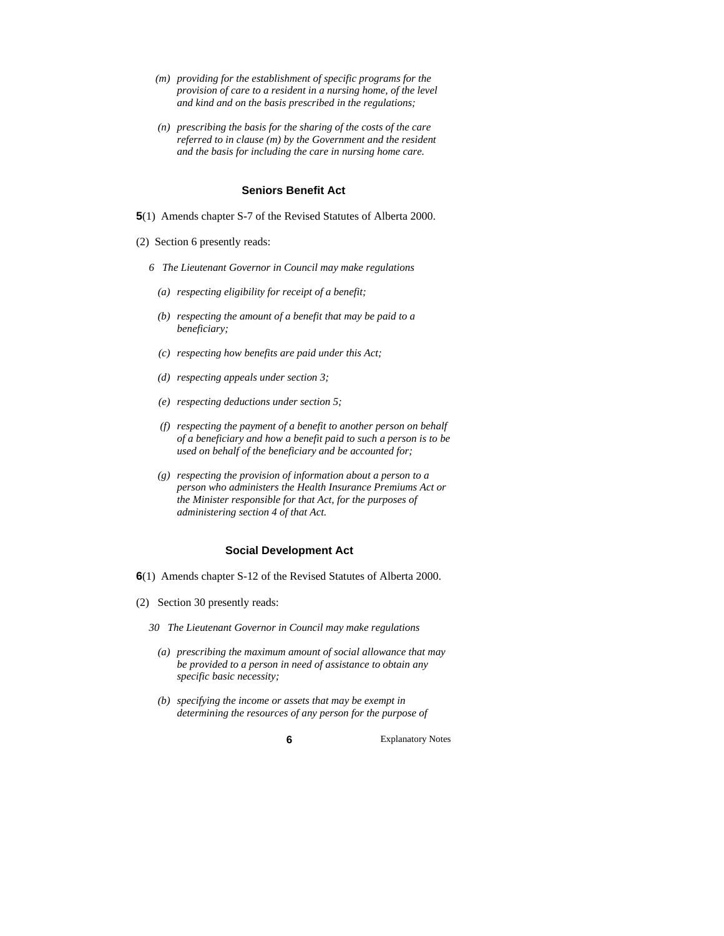- *(m) providing for the establishment of specific programs for the provision of care to a resident in a nursing home, of the level and kind and on the basis prescribed in the regulations;*
- *(n) prescribing the basis for the sharing of the costs of the care referred to in clause (m) by the Government and the resident and the basis for including the care in nursing home care.*

#### **Seniors Benefit Act**

- **5**(1) Amends chapter S-7 of the Revised Statutes of Alberta 2000.
- (2) Section 6 presently reads:
	- *6 The Lieutenant Governor in Council may make regulations* 
		- *(a) respecting eligibility for receipt of a benefit;*
		- *(b) respecting the amount of a benefit that may be paid to a beneficiary;*
		- *(c) respecting how benefits are paid under this Act;*
		- *(d) respecting appeals under section 3;*
		- *(e) respecting deductions under section 5;*
		- *(f) respecting the payment of a benefit to another person on behalf of a beneficiary and how a benefit paid to such a person is to be used on behalf of the beneficiary and be accounted for;*
		- *(g) respecting the provision of information about a person to a person who administers the Health Insurance Premiums Act or the Minister responsible for that Act, for the purposes of administering section 4 of that Act.*

#### **Social Development Act**

- **6**(1) Amends chapter S-12 of the Revised Statutes of Alberta 2000.
- (2) Section 30 presently reads:
	- *30 The Lieutenant Governor in Council may make regulations* 
		- *(a) prescribing the maximum amount of social allowance that may be provided to a person in need of assistance to obtain any specific basic necessity;*
		- *(b) specifying the income or assets that may be exempt in determining the resources of any person for the purpose of*